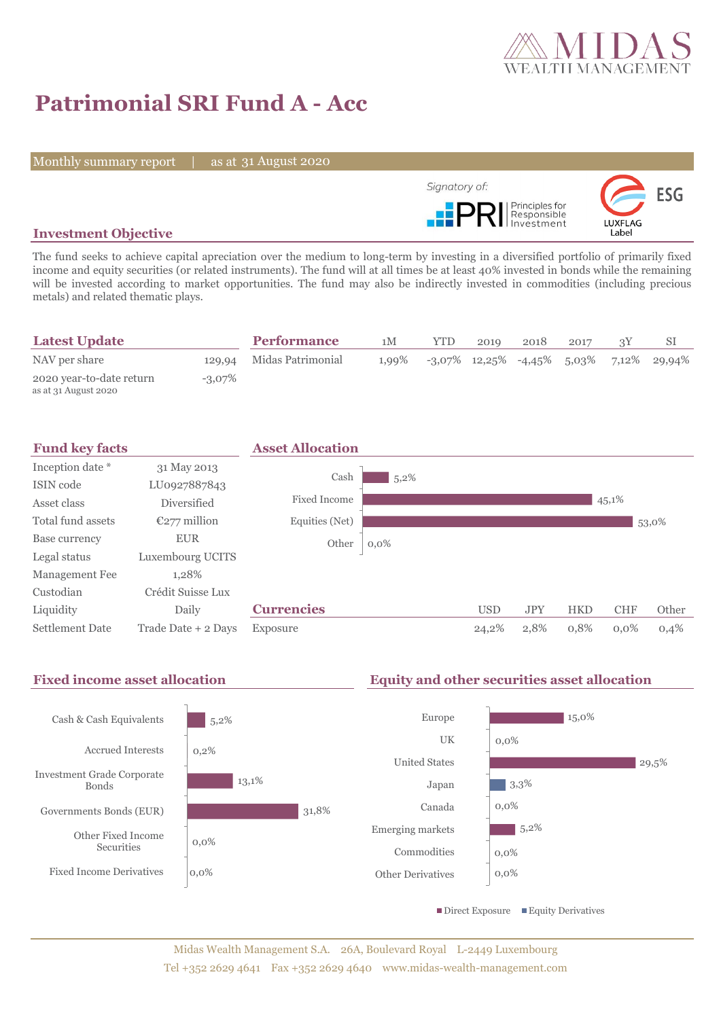

# **Patrimonial SRI Fund A - Acc**

Monthly summary report | as at 31 August 2020



# **Investment Objective**

The fund seeks to achieve capital apreciation over the medium to long-term by investing in a diversified portfolio of primarily fixed income and equity securities (or related instruments). The fund will at all times be at least 40% invested in bonds while the remaining will be invested according to market opportunities. The fund may also be indirectly invested in commodities (including precious metals) and related thematic plays.

| <b>Latest Update</b>                             |           | <b>Performance</b>       | 1М       | <b>YTD</b> | 2019 | 2018 | 2017 |                                               |
|--------------------------------------------------|-----------|--------------------------|----------|------------|------|------|------|-----------------------------------------------|
| NAV per share                                    |           | 129,94 Midas Patrimonial | $1.99\%$ |            |      |      |      | $-3.07\%$ 12.25% $-4.45\%$ 5.03% 7.12% 29.94% |
| 2020 year-to-date return<br>as at 31 August 2020 | $-3.07\%$ |                          |          |            |      |      |      |                                               |



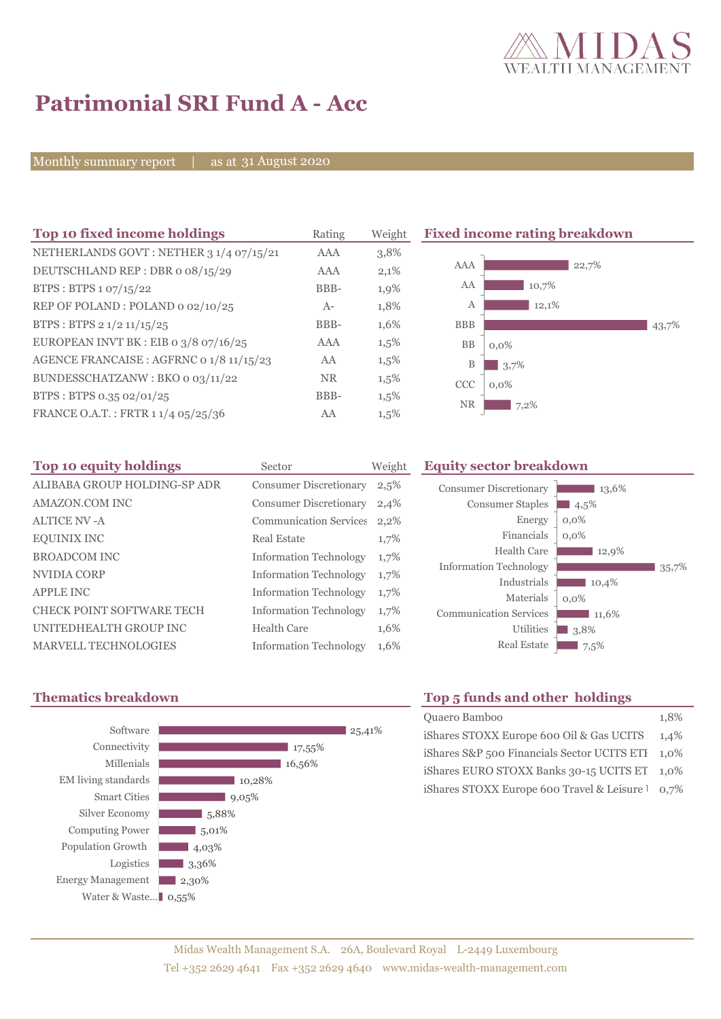

# **Patrimonial SRI Fund A - Acc**

Monthly summary report | as at 31 August 2020

| Top 10 fixed income holdings             | Rating    | Weight  |  |
|------------------------------------------|-----------|---------|--|
| NETHERLANDS GOVT: NETHER 3 1/4 07/15/21  | AAA       | 3,8%    |  |
| DEUTSCHLAND REP: DBR o 08/15/29          | AAA       | 2,1%    |  |
| BTPS: BTPS 1 07/15/22                    | BBB-      | 1,9%    |  |
| REP OF POLAND: POLAND 0 02/10/25         | $A-$      | 1,8%    |  |
| BTPS: BTPS 2 1/2 11/15/25                | BBB-      | 1,6%    |  |
| EUROPEAN INVT BK : EIB o 3/8 07/16/25    | AAA       | $1,5\%$ |  |
| AGENCE FRANCAISE : AGFRNC 0 1/8 11/15/23 | AA        | $1,5\%$ |  |
| BUNDESSCHATZANW: BKO 0 03/11/22          | <b>NR</b> | $1,5\%$ |  |
| BTPS: BTPS 0.35 02/01/25                 | BBB-      | $1,5\%$ |  |
| FRANCE O.A.T.: FRTR 1 1/4 05/25/36       | AA        | 1,5%    |  |

**Fixed income rating breakdown** 



| Top 10 equity holdings           | Sector                        | Weight |
|----------------------------------|-------------------------------|--------|
| ALIBABA GROUP HOLDING-SP ADR     | <b>Consumer Discretionary</b> | 2,5%   |
| <b>AMAZON.COM INC</b>            | <b>Consumer Discretionary</b> | 2,4%   |
| <b>ALTICE NV - A</b>             | <b>Communication Services</b> | 2,2%   |
| <b>EQUINIX INC</b>               | <b>Real Estate</b>            | 1,7%   |
| <b>BROADCOM INC</b>              | <b>Information Technology</b> | 1,7%   |
| NVIDIA CORP                      | <b>Information Technology</b> | 1,7%   |
| <b>APPLE INC</b>                 | <b>Information Technology</b> | 1,7%   |
| <b>CHECK POINT SOFTWARE TECH</b> | <b>Information Technology</b> | 1,7%   |
| UNITEDHEALTH GROUP INC           | Health Care                   | 1,6%   |
| <b>MARVELL TECHNOLOGIES</b>      | <b>Information Technology</b> | 1,6%   |

## **Equity sector breakdown**

| <b>Consumer Discretionary</b> | 13,6%   |
|-------------------------------|---------|
| <b>Consumer Staples</b>       | 4,5%    |
| Energy                        | $0.0\%$ |
| Financials                    | $0.0\%$ |
| <b>Health Care</b>            | 12,9%   |
| <b>Information Technology</b> | 35,7%   |
| Industrials                   | 10,4%   |
| Materials                     | $0.0\%$ |
| <b>Communication Services</b> | 11,6%   |
| Utilities                     | 3,8%    |
| <b>Real Estate</b>            | 7,5%    |



# **Thematics breakdown Top 5 funds and other holdings**

| Quaero Bamboo                                    | 1.8% |
|--------------------------------------------------|------|
| iShares STOXX Europe 600 Oil & Gas UCITS 1,4%    |      |
| iShares S&P 500 Financials Sector UCITS ETI 1,0% |      |
| iShares EURO STOXX Banks 30-15 UCITS ET 1,0%     |      |
| iShares STOXX Europe 600 Travel & Leisure 1 0,7% |      |